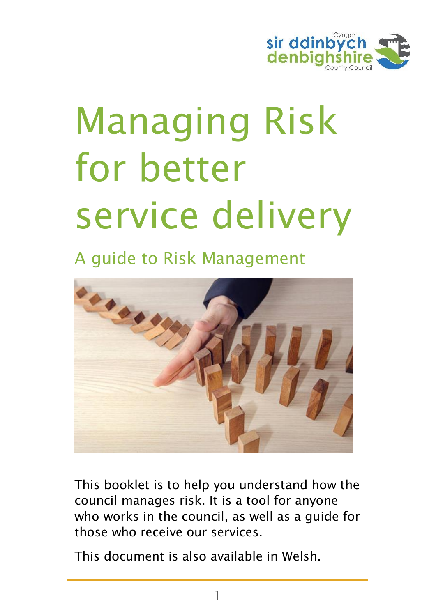

# Managing Risk for better service delivery

### A guide to Risk Management



This booklet is to help you understand how the council manages risk. It is a tool for anyone who works in the council, as well as a guide for those who receive our services.

This document is also available in Welsh.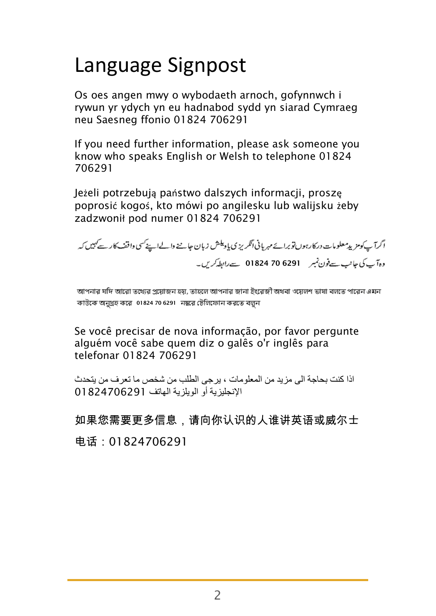### Language Signpost

Os oes angen mwy o wybodaeth arnoch, gofynnwch i rywun yr ydych yn eu hadnabod sydd yn siarad Cymraeg neu Saesneg ffonio 01824 706291

If you need further information, please ask someone you know who speaks English or Welsh to telephone 01824 706291

Jeżeli potrzebują państwo dalszych informacji, proszę poprosić kogoś, kto mówi po angilesku lub walijsku żeby zadzwonił pod numer 01824 706291

اگرآ ب کومزید مطومات در کارہوں تو برائے مہر پانی انگریز ی پادیکش زبان عامنے دالےاہے کسی واقف کار سے کہیں کہ 01824 70 6291

আপনার যদি আরো তথেরে প্রয়োজন হয়, তাহলে আপনার জানা ইংরেজী অথবা ওয়েলশ ভাষা বলতে পারেন এমন কাউকে অনুগ্রহ করে 01824 70 6291 নম্বরে টেলিফোন করতে বল্লন

Se você precisar de nova informação, por favor pergunte alguém você sabe quem diz o galês o'r inglês para telefonar 01824 706291

اذا كنت بحاجة الى مزيد من المعلومات ، يرجى الطلب من شخص ما تعرف من يتحدث اإلنجليزية أو الويلزية الهاتف 01824706291

如果您需要更多信息,请向你认识的人谁讲英语或威尔士 电话:01824706291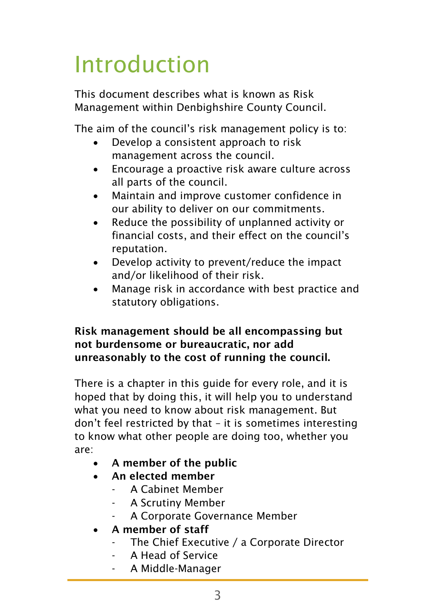# Introduction

This document describes what is known as Risk Management within Denbighshire County Council.

The aim of the council's risk management policy is to:

- Develop a consistent approach to risk management across the council.
- Encourage a proactive risk aware culture across all parts of the council.
- Maintain and improve customer confidence in our ability to deliver on our commitments.
- Reduce the possibility of unplanned activity or financial costs, and their effect on the council's reputation.
- Develop activity to prevent/reduce the impact and/or likelihood of their risk.
- Manage risk in accordance with best practice and statutory obligations.

#### Risk management should be all encompassing but not burdensome or bureaucratic, nor add unreasonably to the cost of running the council.

There is a chapter in this guide for every role, and it is hoped that by doing this, it will help you to understand what you need to know about risk management. But don't feel restricted by that – it is sometimes interesting to know what other people are doing too, whether you are:

- A member of the public
- An elected member
	- A Cabinet Member
	- A Scrutiny Member
	- A Corporate Governance Member
- A member of staff
	- The Chief Executive / a Corporate Director
	- A Head of Service
	- A Middle-Manager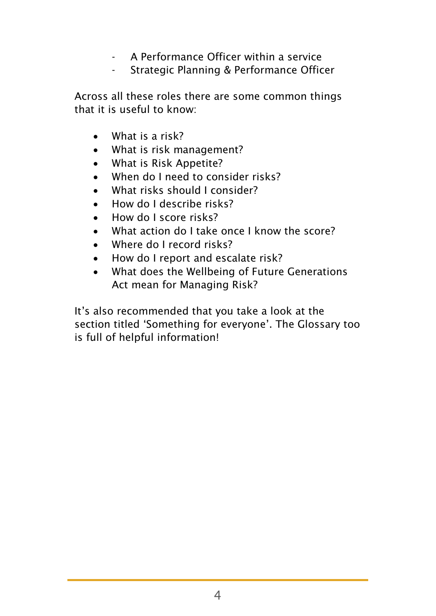- A Performance Officer within a service
- Strategic Planning & Performance Officer

Across all these roles there are some common things that it is useful to know:

- What is a risk?
- What is risk management?
- What is Risk Appetite?
- When do I need to consider risks?
- What risks should I consider?
- How do I describe risks?
- How do I score risks?
- What action do I take once I know the score?
- Where do I record risks?
- How do I report and escalate risk?
- What does the Wellbeing of Future Generations Act mean for Managing Risk?

It's also recommended that you take a look at the section titled 'Something for everyone'. The Glossary too is full of helpful information!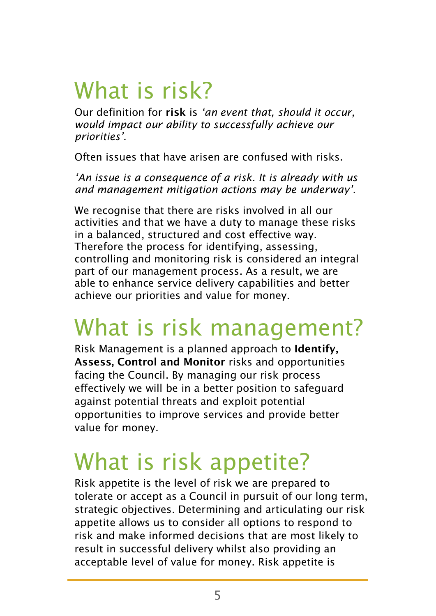# What is risk?

Our definition for risk is *'an event that, should it occur, would impact our ability to successfully achieve our priorities'.* 

Often issues that have arisen are confused with risks.

*'An issue is a consequence of a risk. It is already with us and management mitigation actions may be underway'.* 

We recognise that there are risks involved in all our activities and that we have a duty to manage these risks in a balanced, structured and cost effective way. Therefore the process for identifying, assessing, controlling and monitoring risk is considered an integral part of our management process. As a result, we are able to enhance service delivery capabilities and better achieve our priorities and value for money.

### What is risk management?

Risk Management is a planned approach to Identify, Assess, Control and Monitor risks and opportunities facing the Council. By managing our risk process effectively we will be in a better position to safeguard against potential threats and exploit potential opportunities to improve services and provide better value for money.

### What is risk appetite?

Risk appetite is the level of risk we are prepared to tolerate or accept as a Council in pursuit of our long term, strategic objectives. Determining and articulating our risk appetite allows us to consider all options to respond to risk and make informed decisions that are most likely to result in successful delivery whilst also providing an acceptable level of value for money. Risk appetite is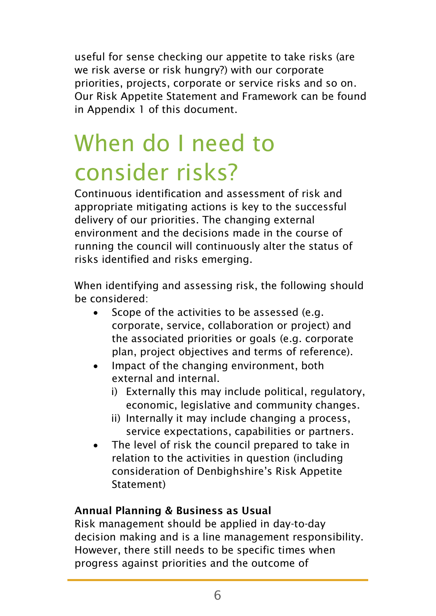useful for sense checking our appetite to take risks (are we risk averse or risk hungry?) with our corporate priorities, projects, corporate or service risks and so on. Our Risk Appetite Statement and Framework can be found in Appendix 1 of this document.

# When do I need to consider risks?

Continuous identification and assessment of risk and appropriate mitigating actions is key to the successful delivery of our priorities. The changing external environment and the decisions made in the course of running the council will continuously alter the status of risks identified and risks emerging.

When identifying and assessing risk, the following should be considered:

- Scope of the activities to be assessed (e.g. corporate, service, collaboration or project) and the associated priorities or goals (e.g. corporate plan, project objectives and terms of reference).
- Impact of the changing environment, both external and internal.
	- i) Externally this may include political, regulatory, economic, legislative and community changes.
	- ii) Internally it may include changing a process, service expectations, capabilities or partners.
- The level of risk the council prepared to take in relation to the activities in question (including consideration of Denbighshire's Risk Appetite Statement)

#### Annual Planning & Business as Usual

Risk management should be applied in day-to-day decision making and is a line management responsibility. However, there still needs to be specific times when progress against priorities and the outcome of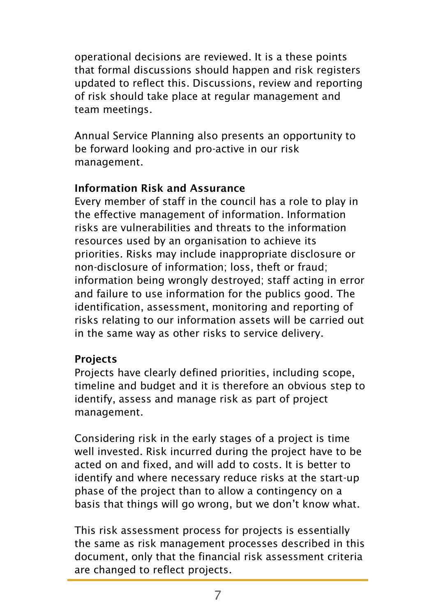operational decisions are reviewed. It is a these points that formal discussions should happen and risk registers updated to reflect this. Discussions, review and reporting of risk should take place at regular management and team meetings.

Annual Service Planning also presents an opportunity to be forward looking and pro-active in our risk management.

#### Information Risk and Assurance

Every member of staff in the council has a role to play in the effective management of information. Information risks are vulnerabilities and threats to the information resources used by an organisation to achieve its priorities. Risks may include inappropriate disclosure or non-disclosure of information; loss, theft or fraud; information being wrongly destroyed; staff acting in error and failure to use information for the publics good. The identification, assessment, monitoring and reporting of risks relating to our information assets will be carried out in the same way as other risks to service delivery.

#### Projects

Projects have clearly defined priorities, including scope, timeline and budget and it is therefore an obvious step to identify, assess and manage risk as part of project management.

Considering risk in the early stages of a project is time well invested. Risk incurred during the project have to be acted on and fixed, and will add to costs. It is better to identify and where necessary reduce risks at the start-up phase of the project than to allow a contingency on a basis that things will go wrong, but we don't know what.

This risk assessment process for projects is essentially the same as risk management processes described in this document, only that the financial risk assessment criteria are changed to reflect projects.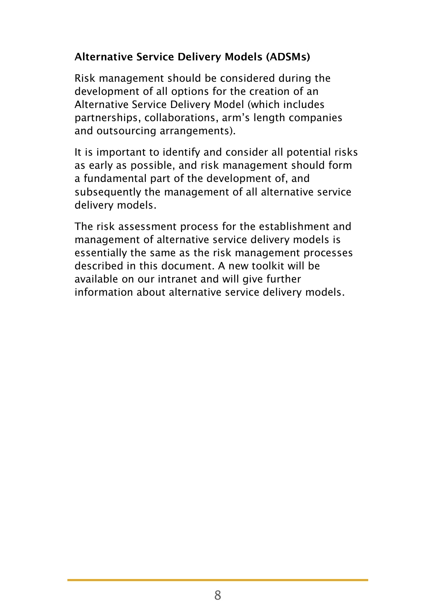#### Alternative Service Delivery Models (ADSMs)

Risk management should be considered during the development of all options for the creation of an Alternative Service Delivery Model (which includes partnerships, collaborations, arm's length companies and outsourcing arrangements).

It is important to identify and consider all potential risks as early as possible, and risk management should form a fundamental part of the development of, and subsequently the management of all alternative service delivery models.

The risk assessment process for the establishment and management of alternative service delivery models is essentially the same as the risk management processes described in this document. A new toolkit will be available on our intranet and will give further information about alternative service delivery models.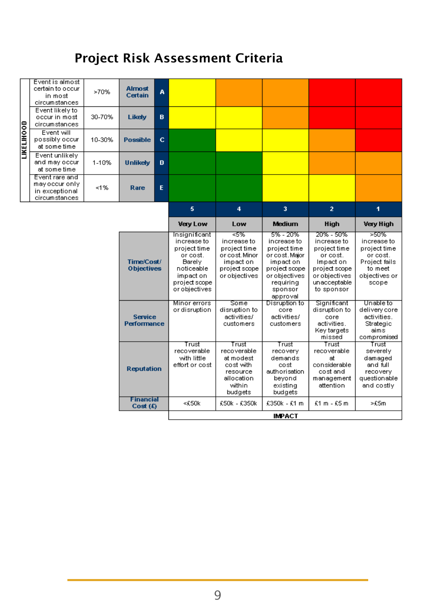### Project Risk Assessment Criteria

|                   | Event is almost<br>certain to occur<br>in most<br>circumstances   | >70%                                 | <b>Almost</b><br>Certain         | A                             |                                                                                                                                 |                                                                                                      |                                                                                                                                              |                                                                                                                                   |                                                                                                       |
|-------------------|-------------------------------------------------------------------|--------------------------------------|----------------------------------|-------------------------------|---------------------------------------------------------------------------------------------------------------------------------|------------------------------------------------------------------------------------------------------|----------------------------------------------------------------------------------------------------------------------------------------------|-----------------------------------------------------------------------------------------------------------------------------------|-------------------------------------------------------------------------------------------------------|
|                   | Event likely to<br>occur in most<br>circumstances                 | 30-70%                               | Likely                           | B                             |                                                                                                                                 |                                                                                                      |                                                                                                                                              |                                                                                                                                   |                                                                                                       |
| <b>LIKELIHOOD</b> | Event will<br>possibly occur<br>at some time                      | 10-30%                               | <b>Possible</b>                  | $\mathbf{C}$                  |                                                                                                                                 |                                                                                                      |                                                                                                                                              |                                                                                                                                   |                                                                                                       |
|                   | Event unlikely<br>and may occur<br>at some time.                  | 1-10%                                | <b>Unlikely</b>                  | $\mathbf{D}$                  |                                                                                                                                 |                                                                                                      |                                                                                                                                              |                                                                                                                                   |                                                                                                       |
|                   | Event rare and<br>mayoccuronly<br>in exceptional<br>circumstances | 1%                                   | Rare                             | E                             |                                                                                                                                 |                                                                                                      |                                                                                                                                              |                                                                                                                                   |                                                                                                       |
|                   |                                                                   |                                      |                                  |                               | 5                                                                                                                               | $\overline{4}$                                                                                       | 3                                                                                                                                            | $\overline{2}$                                                                                                                    | 1                                                                                                     |
|                   |                                                                   |                                      |                                  | <b>Very Low</b>               | Low                                                                                                                             | <b>Medium</b>                                                                                        | <b>High</b>                                                                                                                                  | <b>Very High</b>                                                                                                                  |                                                                                                       |
|                   |                                                                   |                                      | Time/Cost/<br><b>Objectives</b>  |                               | Insignificant<br>increase to<br>project time<br>or cost.<br>Barely<br>noticeable<br>impact on<br>project scope<br>or objectives | न्ड%<br>increase to<br>project time<br>or cost. Minor<br>impact on<br>project scope<br>or objectives | 5% - 20%<br>increase to<br>project time<br>or cost. Major<br>impact on<br>project scope<br>or objectives<br>requiring<br>sponsor<br>approval | 20% - 50%<br>increase to<br>project time<br>or cost.<br>Impact on<br>project scope<br>or objectives<br>unacceptable<br>to sponsor | >50%<br>increase to<br>project time<br>or cost.<br>Project fails<br>to meet<br>objectives or<br>scope |
|                   |                                                                   | <b>Service</b><br><b>Performance</b> |                                  | Minor errors<br>or disruption | Some<br>disruption to<br>activities/<br>customers                                                                               | Disruption to<br>core<br>activities/<br>customers                                                    | Significant<br>disruption to<br>core<br>activities.<br>Key targets<br>missed                                                                 | Unable to<br>delivery core<br>activities.<br>Strategic<br>aims<br>compromised                                                     |                                                                                                       |
|                   |                                                                   |                                      | <b>Reputation</b>                |                               | Trust<br>recoverable<br>with little<br>effort or cost                                                                           | Trust<br>recoverable<br>at modest<br>cost with<br>resource<br>allocation<br>within<br>budgets        | Trust<br>recovery<br>demands<br>cost<br>authorisation<br>beyond<br>existing<br>budgets                                                       | Trust<br>recoverable<br>at.<br>considerable<br>cost and<br>management<br>attention                                                | Trust<br>severely<br>damaged<br>and full<br>recovery<br>questionable<br>and costly                    |
|                   |                                                                   |                                      | <b>Financial</b><br>$Cost (f_i)$ |                               | <£50k                                                                                                                           | £50k - £350k                                                                                         | £350k - £1 m                                                                                                                                 | $£1 m - £5 m$                                                                                                                     | $>$ £5m                                                                                               |
|                   |                                                                   |                                      | <b>IMPACT</b>                    |                               |                                                                                                                                 |                                                                                                      |                                                                                                                                              |                                                                                                                                   |                                                                                                       |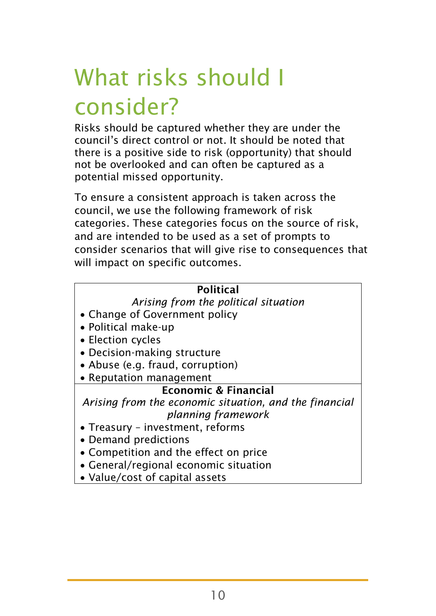# What risks should I consider?

Risks should be captured whether they are under the council's direct control or not. It should be noted that there is a positive side to risk (opportunity) that should not be overlooked and can often be captured as a potential missed opportunity.

To ensure a consistent approach is taken across the council, we use the following framework of risk categories. These categories focus on the source of risk, and are intended to be used as a set of prompts to consider scenarios that will give rise to consequences that will impact on specific outcomes.

#### Political

*Arising from the political situation*

- Change of Government policy
- Political make-up
- Election cycles
- Decision-making structure
- Abuse (e.g. fraud, corruption)
- Reputation management

#### Economic & Financial

*Arising from the economic situation, and the financial planning framework*

- Treasury investment, reforms
- Demand predictions
- Competition and the effect on price
- General/regional economic situation
- Value/cost of capital assets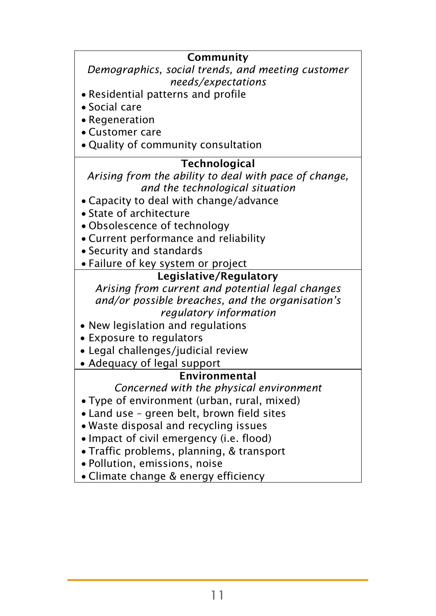#### Community *Demographics, social trends, and meeting customer needs/expectations*  Residential patterns and profile Social care Regeneration Customer care • Quality of community consultation **Technological** *Arising from the ability to deal with pace of change, and the technological situation* Capacity to deal with change/advance State of architecture Obsolescence of technology Current performance and reliability Security and standards Failure of key system or project Legislative/Regulatory *Arising from current and potential legal changes and/or possible breaches, and the organisation's regulatory information* New legislation and regulations Exposure to regulators Legal challenges/judicial review Adequacy of legal support Environmental *Concerned with the physical environment* Type of environment (urban, rural, mixed) Land use – green belt, brown field sites Waste disposal and recycling issues • Impact of civil emergency (i.e. flood) Traffic problems, planning, & transport Pollution, emissions, noise Climate change & energy efficiency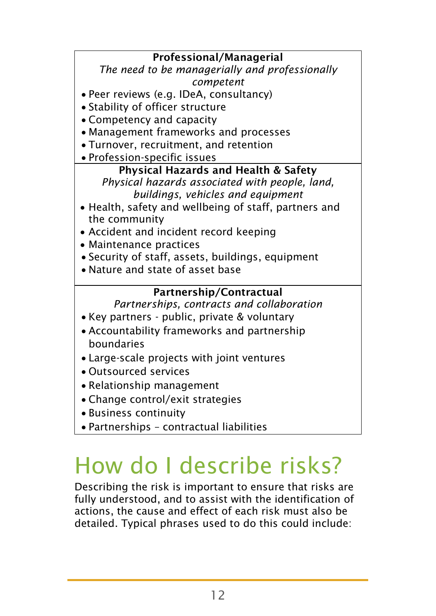#### Professional/Managerial

*The need to be managerially and professionally competent*

- Peer reviews (e.g. IDeA, consultancy)
- Stability of officer structure
- Competency and capacity
- Management frameworks and processes
- Turnover, recruitment, and retention
- Profession-specific issues

#### Physical Hazards and Health & Safety

*Physical hazards associated with people, land, buildings, vehicles and equipment*

- Health, safety and wellbeing of staff, partners and the community
- Accident and incident record keeping
- Maintenance practices
- Security of staff, assets, buildings, equipment
- Nature and state of asset base

#### Partnership/Contractual

*Partnerships, contracts and collaboration*

- Key partners public, private & voluntary
- Accountability frameworks and partnership boundaries
- Large-scale projects with joint ventures
- Outsourced services
- Relationship management
- Change control/exit strategies
- Business continuity
- Partnerships contractual liabilities

### How do I describe risks?

Describing the risk is important to ensure that risks are fully understood, and to assist with the identification of actions, the cause and effect of each risk must also be detailed. Typical phrases used to do this could include: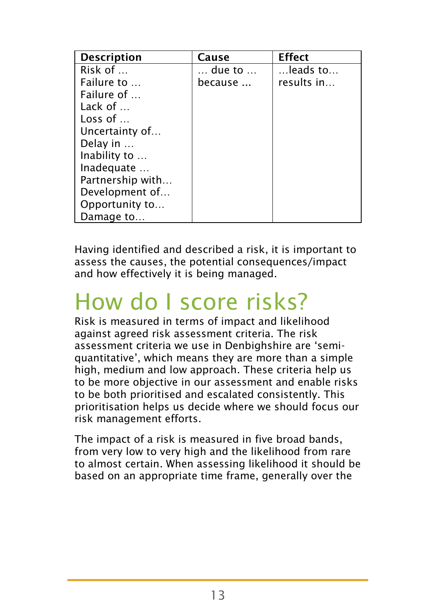| <b>Description</b> | Cause   | <b>Effect</b>            |
|--------------------|---------|--------------------------|
| Risk of $\dots$    | due to  | $\dots$ leads to $\dots$ |
| Failure to         | because | results in               |
| Failure of         |         |                          |
| Lack of $\dots$    |         |                          |
| Loss of $\ldots$   |         |                          |
| Uncertainty of     |         |                          |
| Delay in           |         |                          |
| Inability to       |         |                          |
| Inadequate         |         |                          |
| Partnership with   |         |                          |
| Development of     |         |                          |
| Opportunity to     |         |                          |
| Damage to          |         |                          |

Having identified and described a risk, it is important to assess the causes, the potential consequences/impact and how effectively it is being managed.

### How do I score risks?

Risk is measured in terms of impact and likelihood against agreed risk assessment criteria. The risk assessment criteria we use in Denbighshire are 'semiquantitative', which means they are more than a simple high, medium and low approach. These criteria help us to be more objective in our assessment and enable risks to be both prioritised and escalated consistently. This prioritisation helps us decide where we should focus our risk management efforts.

The impact of a risk is measured in five broad bands, from very low to very high and the likelihood from rare to almost certain. When assessing likelihood it should be based on an appropriate time frame, generally over the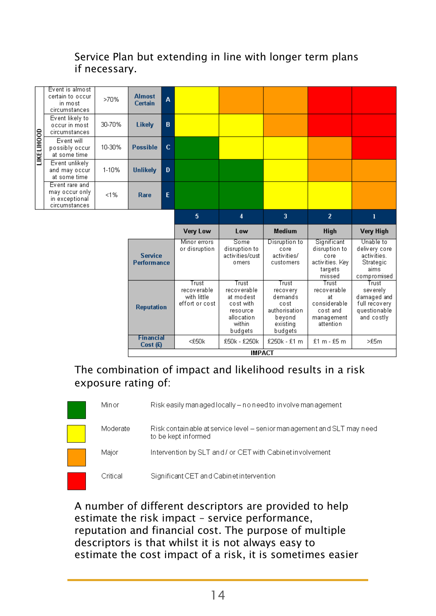#### Service Plan but extending in line with longer term plans if necessary.



#### The combination of impact and likelihood results in a risk exposure rating of:

| Minor    | Risk easily managed locally – no need to involve management                                    |
|----------|------------------------------------------------------------------------------------------------|
| Moderate | Risk contain able at service level – senior management and SLT may need<br>to be kept informed |
| Major    | Intervention by SLT and / or CET with Cabinet involvement                                      |
| Critical | Significant CET and Cabinet intervention                                                       |

A number of different descriptors are provided to help estimate the risk impact – service performance, reputation and financial cost. The purpose of multiple descriptors is that whilst it is not always easy to estimate the cost impact of a risk, it is sometimes easier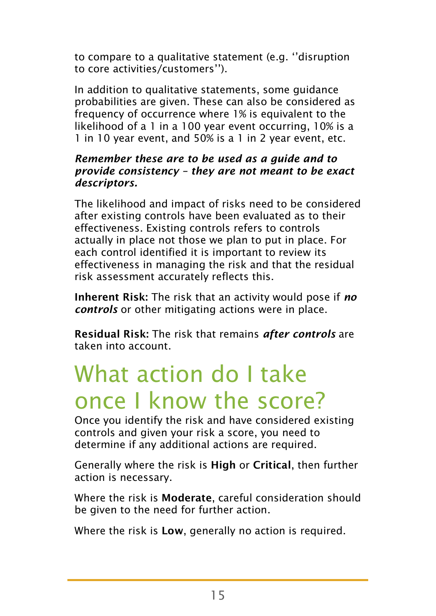to compare to a qualitative statement (e.g. ''disruption to core activities/customers'').

In addition to qualitative statements, some guidance probabilities are given. These can also be considered as frequency of occurrence where 1% is equivalent to the likelihood of a 1 in a 100 year event occurring, 10% is a 1 in 10 year event, and 50% is a 1 in 2 year event, etc.

#### *Remember these are to be used as a guide and to provide consistency – they are not meant to be exact descriptors.*

The likelihood and impact of risks need to be considered after existing controls have been evaluated as to their effectiveness. Existing controls refers to controls actually in place not those we plan to put in place. For each control identified it is important to review its effectiveness in managing the risk and that the residual risk assessment accurately reflects this.

Inherent Risk: The risk that an activity would pose if *no controls* or other mitigating actions were in place.

Residual Risk: The risk that remains *after controls* are taken into account.

### What action do I take once I know the score?

Once you identify the risk and have considered existing controls and given your risk a score, you need to determine if any additional actions are required.

Generally where the risk is High or Critical, then further action is necessary.

Where the risk is **Moderate**, careful consideration should be given to the need for further action.

Where the risk is Low, generally no action is required.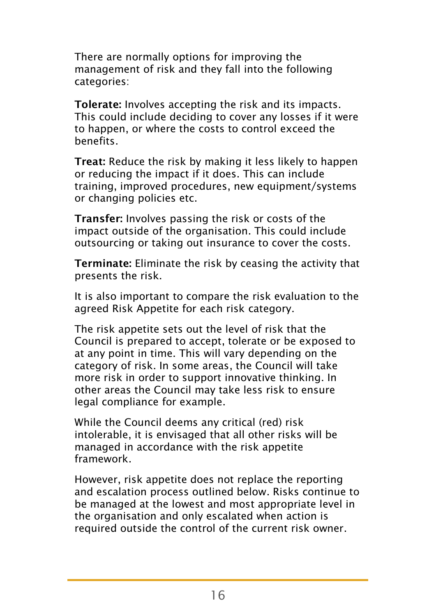There are normally options for improving the management of risk and they fall into the following categories:

Tolerate: Involves accepting the risk and its impacts. This could include deciding to cover any losses if it were to happen, or where the costs to control exceed the benefits.

Treat: Reduce the risk by making it less likely to happen or reducing the impact if it does. This can include training, improved procedures, new equipment/systems or changing policies etc.

Transfer: Involves passing the risk or costs of the impact outside of the organisation. This could include outsourcing or taking out insurance to cover the costs.

Terminate: Eliminate the risk by ceasing the activity that presents the risk.

It is also important to compare the risk evaluation to the agreed Risk Appetite for each risk category.

The risk appetite sets out the level of risk that the Council is prepared to accept, tolerate or be exposed to at any point in time. This will vary depending on the category of risk. In some areas, the Council will take more risk in order to support innovative thinking. In other areas the Council may take less risk to ensure legal compliance for example.

While the Council deems any critical (red) risk intolerable, it is envisaged that all other risks will be managed in accordance with the risk appetite framework.

However, risk appetite does not replace the reporting and escalation process outlined below. Risks continue to be managed at the lowest and most appropriate level in the organisation and only escalated when action is required outside the control of the current risk owner.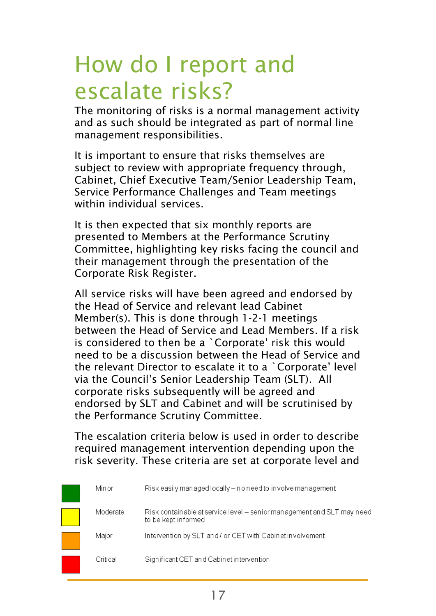### How do I report and escalate risks?

The monitoring of risks is a normal management activity and as such should be integrated as part of normal line management responsibilities.

It is important to ensure that risks themselves are subject to review with appropriate frequency through, Cabinet, Chief Executive Team/Senior Leadership Team, Service Performance Challenges and Team meetings within individual services.

It is then expected that six monthly reports are presented to Members at the Performance Scrutiny Committee, highlighting key risks facing the council and their management through the presentation of the Corporate Risk Register.

All service risks will have been agreed and endorsed by the Head of Service and relevant lead Cabinet Member(s). This is done through 1-2-1 meetings between the Head of Service and Lead Members. If a risk is considered to then be a `Corporate' risk this would need to be a discussion between the Head of Service and the relevant Director to escalate it to a `Corporate' level via the Council's Senior Leadership Team (SLT). All corporate risks subsequently will be agreed and endorsed by SLT and Cabinet and will be scrutinised by the Performance Scrutiny Committee.

The escalation criteria below is used in order to describe required management intervention depending upon the risk severity. These criteria are set at corporate level and

| Minor    | Risk easily managed locally – no need to involve management                                   |
|----------|-----------------------------------------------------------------------------------------------|
| Moderate | Risk containable at service level - senior management and SLT may need<br>to be kept informed |
| Maior    | Intervention by SLT and / or CET with Cabinet involvement                                     |
| Critical | Significant CET and Cabinet intervention                                                      |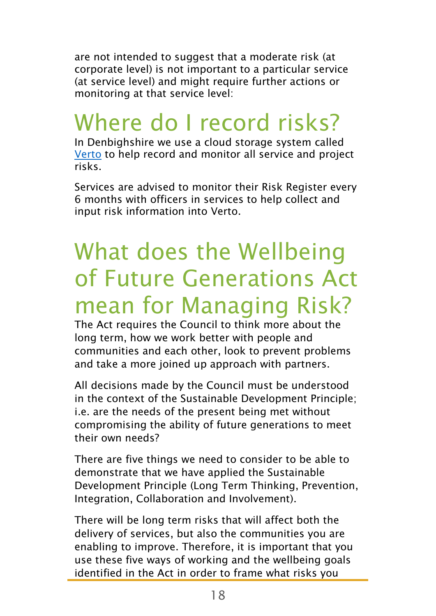are not intended to suggest that a moderate risk (at corporate level) is not important to a particular service (at service level) and might require further actions or monitoring at that service level:

## Where do I record risks?

In Denbighshire we use a cloud storage system called [Verto](https://www.vertocloud.com/denbighshire/(X(1)S(az50lb55etfixy3zk3sqrmjk))/login_02.aspx?AspxAutoDetectCookieSupport=1) to help record and monitor all service and project risks.

Services are advised to monitor their Risk Register every 6 months with officers in services to help collect and input risk information into Verto.

# What does the Wellbeing of Future Generations Act mean for Managing Risk?

The Act requires the Council to think more about the long term, how we work better with people and communities and each other, look to prevent problems and take a more joined up approach with partners.

All decisions made by the Council must be understood in the context of the Sustainable Development Principle; i.e. are the needs of the present being met without compromising the ability of future generations to meet their own needs?

There are five things we need to consider to be able to demonstrate that we have applied the Sustainable Development Principle (Long Term Thinking, Prevention, Integration, Collaboration and Involvement).

There will be long term risks that will affect both the delivery of services, but also the communities you are enabling to improve. Therefore, it is important that you use these five ways of working and the wellbeing goals identified in the Act in order to frame what risks you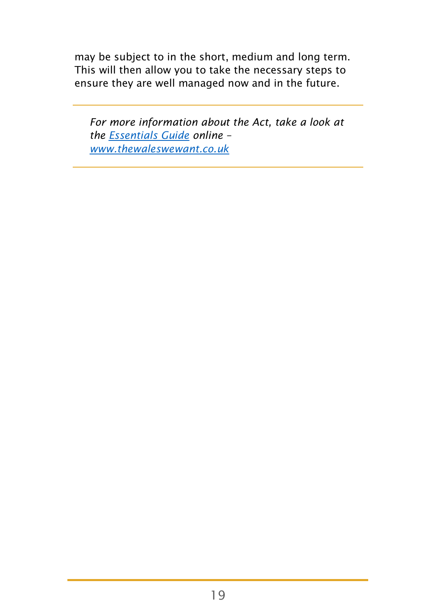may be subject to in the short, medium and long term. This will then allow you to take the necessary steps to ensure they are well managed now and in the future.

*For more information about the Act, take a look at the [Essentials Guide](http://thewaleswewant.co.uk/sites/default/files/Guide%20to%20the%20WFGAct.pdf) online – [www.thewaleswewant.co.uk](http://www.thewaleswewant.co.uk/)*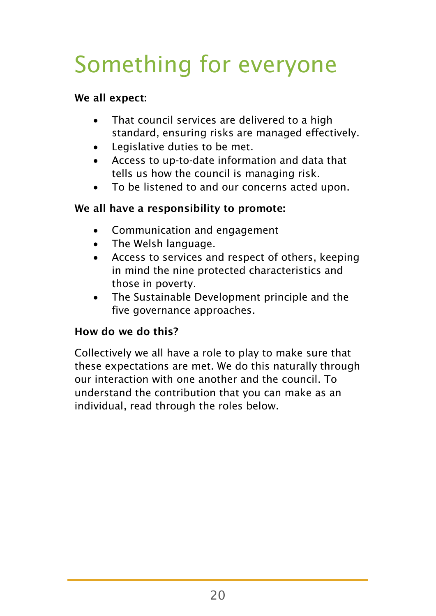# Something for everyone

#### We all expect:

- That council services are delivered to a high standard, ensuring risks are managed effectively.
- Legislative duties to be met.
- Access to up-to-date information and data that tells us how the council is managing risk.
- To be listened to and our concerns acted upon.

#### We all have a responsibility to promote:

- Communication and engagement
- The Welsh language.
- Access to services and respect of others, keeping in mind the nine protected characteristics and those in poverty.
- The Sustainable Development principle and the five governance approaches.

#### How do we do this?

Collectively we all have a role to play to make sure that these expectations are met. We do this naturally through our interaction with one another and the council. To understand the contribution that you can make as an individual, read through the roles below.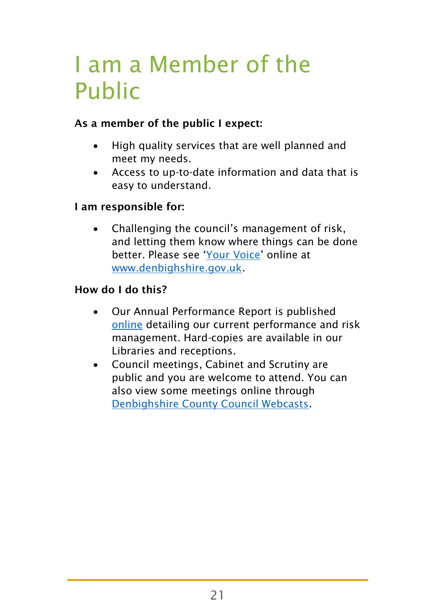# I am a Member of the Public

#### As a member of the public I expect:

- High quality services that are well planned and meet my needs.
- Access to up-to-date information and data that is easy to understand.

#### I am responsible for:

 Challenging the council's management of risk, and letting them know where things can be done better. Please see '[Your Voice](https://www.denbighshire.gov.uk/en/your-council/complaints-compliments-and-feedback/complaints-compliments-and-feedback.aspx)' online at [www.denbighshire.gov.uk.](http://www.denbighshire.gov.uk/)

#### How do I do this?

- Our Annual Performance Report is published [online](https://www.denbighshire.gov.uk/en/your-council/about-the-council/performance.aspx) detailing our current performance and risk management. Hard-copies are available in our Libraries and receptions.
- Council meetings, Cabinet and Scrutiny are public and you are welcome to attend. You can also view some meetings online through [Denbighshire County Council Webcasts.](http://www.denbighshire.public-i.tv/core/portal/home)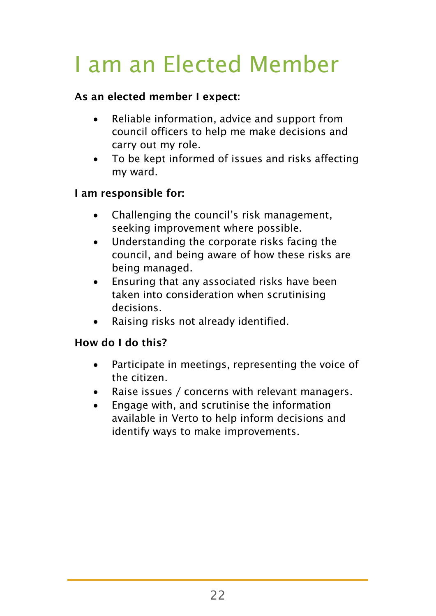# I am an Elected Member

#### As an elected member I expect:

- Reliable information, advice and support from council officers to help me make decisions and carry out my role.
- To be kept informed of issues and risks affecting my ward.

#### I am responsible for:

- Challenging the council's risk management, seeking improvement where possible.
- Understanding the corporate risks facing the council, and being aware of how these risks are being managed.
- Ensuring that any associated risks have been taken into consideration when scrutinising decisions.
- Raising risks not already identified.

#### How do I do this?

- Participate in meetings, representing the voice of the citizen.
- Raise issues / concerns with relevant managers.
- Engage with, and scrutinise the information available in Verto to help inform decisions and identify ways to make improvements.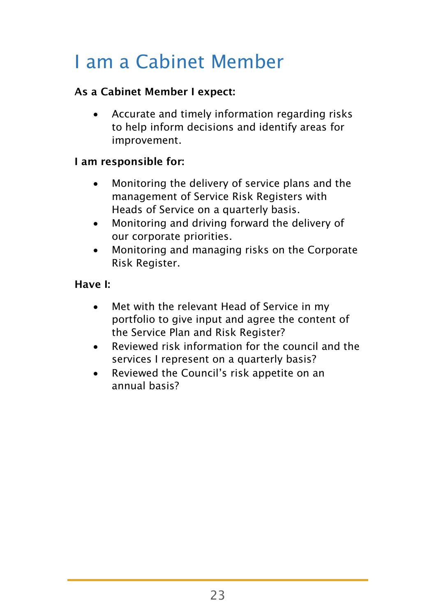### I am a Cabinet Member

#### As a Cabinet Member I expect:

 Accurate and timely information regarding risks to help inform decisions and identify areas for improvement.

#### I am responsible for:

- Monitoring the delivery of service plans and the management of Service Risk Registers with Heads of Service on a quarterly basis.
- Monitoring and driving forward the delivery of our corporate priorities.
- Monitoring and managing risks on the Corporate Risk Register.

#### Have I:

- Met with the relevant Head of Service in my portfolio to give input and agree the content of the Service Plan and Risk Register?
- Reviewed risk information for the council and the services I represent on a quarterly basis?
- Reviewed the Council's risk appetite on an annual basis?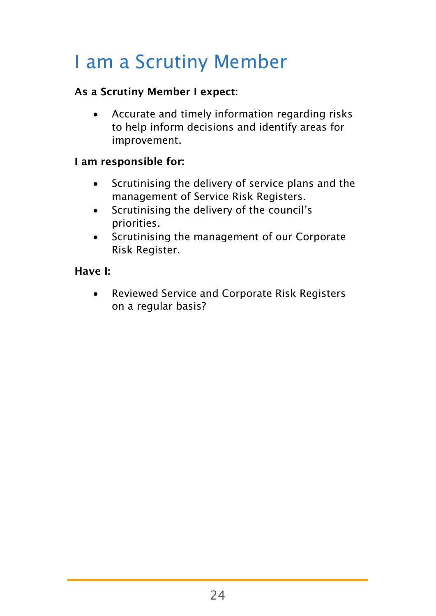### I am a Scrutiny Member

#### As a Scrutiny Member I expect:

 Accurate and timely information regarding risks to help inform decisions and identify areas for improvement.

#### I am responsible for:

- Scrutinising the delivery of service plans and the management of Service Risk Registers.
- Scrutinising the delivery of the council's priorities.
- Scrutinising the management of our Corporate Risk Register.

#### Have I:

 Reviewed Service and Corporate Risk Registers on a regular basis?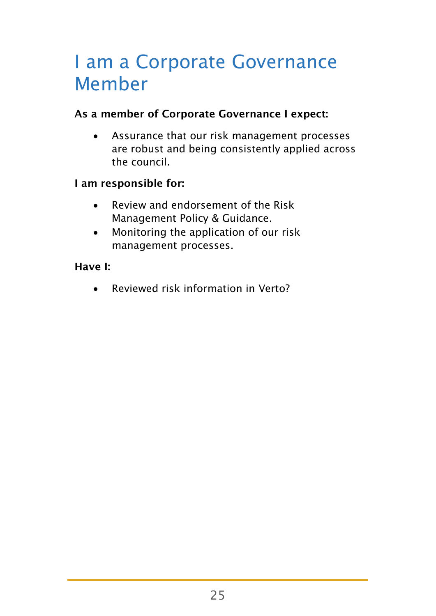### I am a Corporate Governance Member

#### As a member of Corporate Governance I expect:

 Assurance that our risk management processes are robust and being consistently applied across the council.

#### I am responsible for:

- Review and endorsement of the Risk Management Policy & Guidance.
- Monitoring the application of our risk management processes.

#### Have I:

Reviewed risk information in Verto?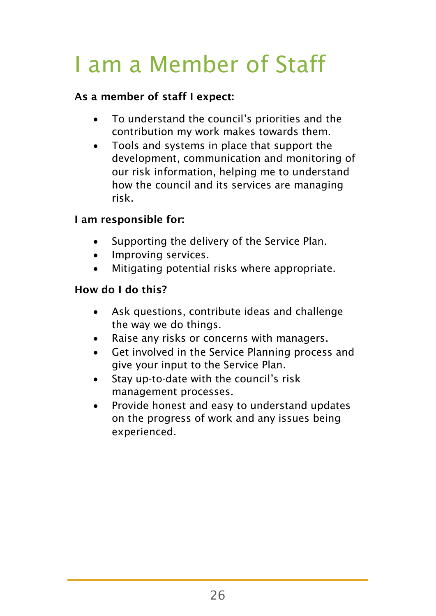# I am a Member of Staff

#### As a member of staff I expect:

- To understand the council's priorities and the contribution my work makes towards them.
- Tools and systems in place that support the development, communication and monitoring of our risk information, helping me to understand how the council and its services are managing risk.

#### I am responsible for:

- Supporting the delivery of the Service Plan.
- Improving services.
- Mitigating potential risks where appropriate.

#### How do I do this?

- Ask questions, contribute ideas and challenge the way we do things.
- Raise any risks or concerns with managers.
- Get involved in the Service Planning process and give your input to the Service Plan.
- Stay up-to-date with the council's risk management processes.
- Provide honest and easy to understand updates on the progress of work and any issues being experienced.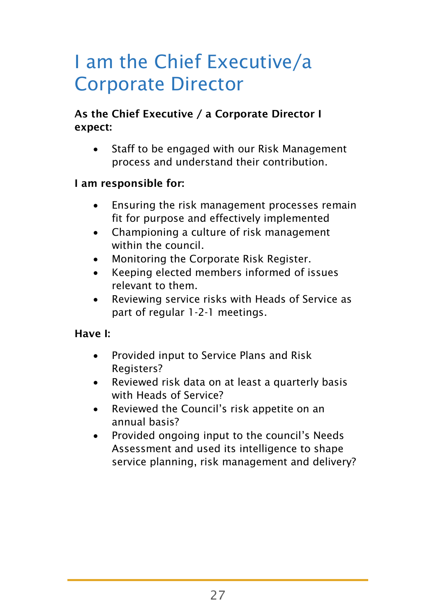### I am the Chief Executive/a Corporate Director

#### As the Chief Executive / a Corporate Director I expect:

 Staff to be engaged with our Risk Management process and understand their contribution.

#### I am responsible for:

- Ensuring the risk management processes remain fit for purpose and effectively implemented
- Championing a culture of risk management within the council
- Monitoring the Corporate Risk Register.
- Keeping elected members informed of issues relevant to them.
- Reviewing service risks with Heads of Service as part of regular 1-2-1 meetings.

#### Have I:

- Provided input to Service Plans and Risk Registers?
- Reviewed risk data on at least a quarterly basis with Heads of Service?
- Reviewed the Council's risk appetite on an annual basis?
- Provided ongoing input to the council's Needs Assessment and used its intelligence to shape service planning, risk management and delivery?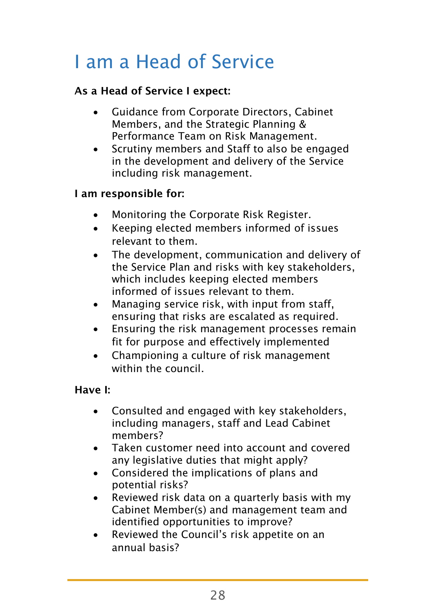### I am a Head of Service

#### As a Head of Service I expect:

- Guidance from Corporate Directors, Cabinet Members, and the Strategic Planning & Performance Team on Risk Management.
- Scrutiny members and Staff to also be engaged in the development and delivery of the Service including risk management.

#### I am responsible for:

- Monitoring the Corporate Risk Register.
- Keeping elected members informed of issues relevant to them.
- The development, communication and delivery of the Service Plan and risks with key stakeholders, which includes keeping elected members informed of issues relevant to them.
- Managing service risk, with input from staff, ensuring that risks are escalated as required.
- Ensuring the risk management processes remain fit for purpose and effectively implemented
- Championing a culture of risk management within the council.

#### Have I:

- Consulted and engaged with key stakeholders, including managers, staff and Lead Cabinet members?
- Taken customer need into account and covered any legislative duties that might apply?
- Considered the implications of plans and potential risks?
- Reviewed risk data on a quarterly basis with my Cabinet Member(s) and management team and identified opportunities to improve?
- Reviewed the Council's risk appetite on an annual basis?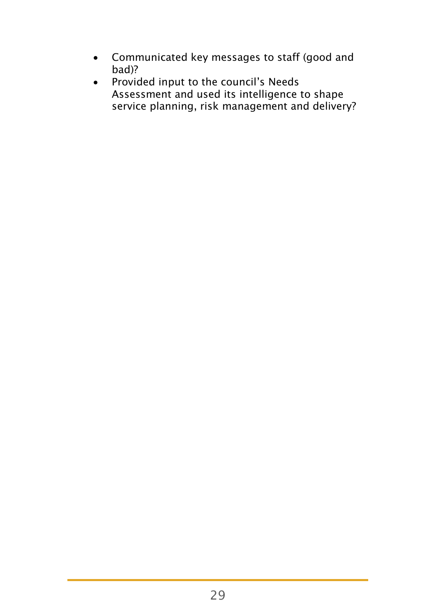- Communicated key messages to staff (good and bad)?
- Provided input to the council's Needs Assessment and used its intelligence to shape service planning, risk management and delivery?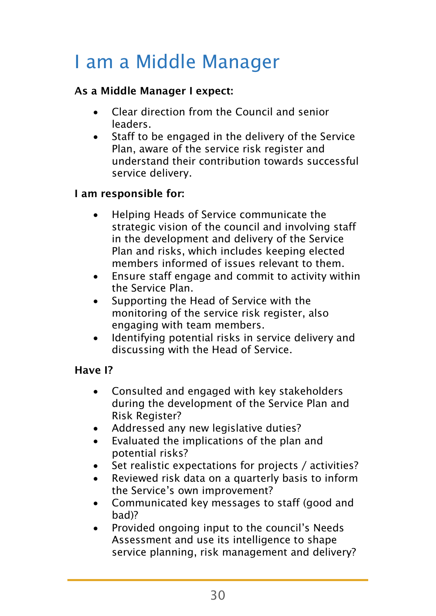### I am a Middle Manager

#### As a Middle Manager I expect:

- Clear direction from the Council and senior leaders.
- Staff to be engaged in the delivery of the Service Plan, aware of the service risk register and understand their contribution towards successful service delivery.

#### I am responsible for:

- Helping Heads of Service communicate the strategic vision of the council and involving staff in the development and delivery of the Service Plan and risks, which includes keeping elected members informed of issues relevant to them.
- Ensure staff engage and commit to activity within the Service Plan.
- Supporting the Head of Service with the monitoring of the service risk register, also engaging with team members.
- Identifying potential risks in service delivery and discussing with the Head of Service.

#### Have I?

- Consulted and engaged with key stakeholders during the development of the Service Plan and Risk Register?
- Addressed any new legislative duties?
- Evaluated the implications of the plan and potential risks?
- Set realistic expectations for projects / activities?
- Reviewed risk data on a quarterly basis to inform the Service's own improvement?
- Communicated key messages to staff (good and bad)?
- Provided ongoing input to the council's Needs Assessment and use its intelligence to shape service planning, risk management and delivery?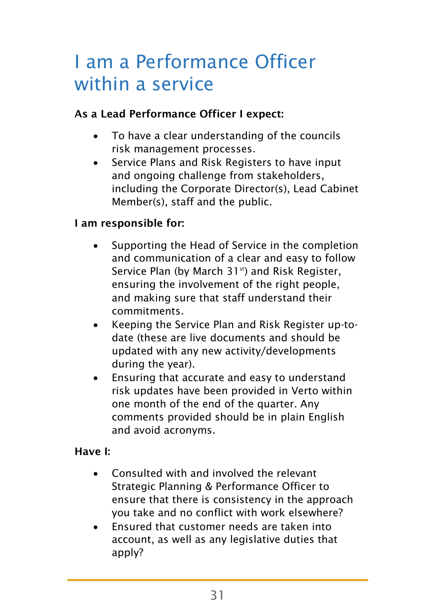### I am a Performance Officer within a service

#### As a Lead Performance Officer I expect:

- To have a clear understanding of the councils risk management processes.
- Service Plans and Risk Registers to have input and ongoing challenge from stakeholders, including the Corporate Director(s), Lead Cabinet Member(s), staff and the public.

#### I am responsible for:

- Supporting the Head of Service in the completion and communication of a clear and easy to follow Service Plan (by March 31<sup>st</sup>) and Risk Register, ensuring the involvement of the right people, and making sure that staff understand their commitments.
- Keeping the Service Plan and Risk Register up-todate (these are live documents and should be updated with any new activity/developments during the year).
- Ensuring that accurate and easy to understand risk updates have been provided in Verto within one month of the end of the quarter. Any comments provided should be in plain English and avoid acronyms.

#### Have I:

- Consulted with and involved the relevant Strategic Planning & Performance Officer to ensure that there is consistency in the approach you take and no conflict with work elsewhere?
- Ensured that customer needs are taken into account, as well as any legislative duties that apply?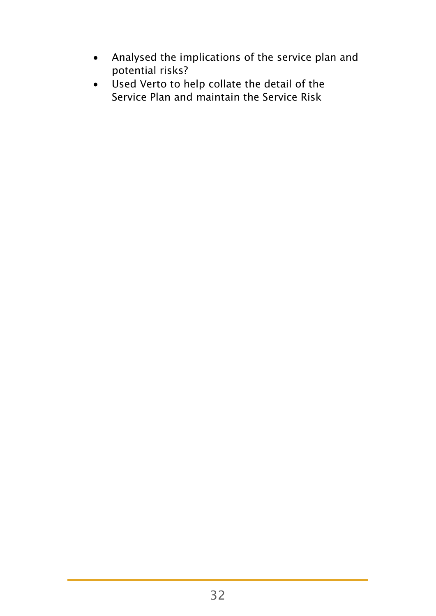- Analysed the implications of the service plan and potential risks?
- Used Verto to help collate the detail of the Service Plan and maintain the Service Risk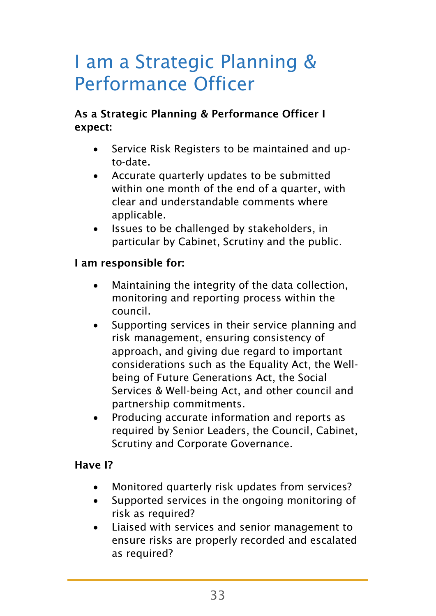### I am a Strategic Planning & Performance Officer

#### As a Strategic Planning & Performance Officer I expect:

- Service Risk Registers to be maintained and upto-date.
- Accurate quarterly updates to be submitted within one month of the end of a quarter, with clear and understandable comments where applicable.
- Issues to be challenged by stakeholders, in particular by Cabinet, Scrutiny and the public.

#### I am responsible for:

- Maintaining the integrity of the data collection, monitoring and reporting process within the council.
- Supporting services in their service planning and risk management, ensuring consistency of approach, and giving due regard to important considerations such as the Equality Act, the Wellbeing of Future Generations Act, the Social Services & Well-being Act, and other council and partnership commitments.
- Producing accurate information and reports as required by Senior Leaders, the Council, Cabinet, Scrutiny and Corporate Governance.

#### Have I?

- Monitored quarterly risk updates from services?
- Supported services in the ongoing monitoring of risk as required?
- Liaised with services and senior management to ensure risks are properly recorded and escalated as required?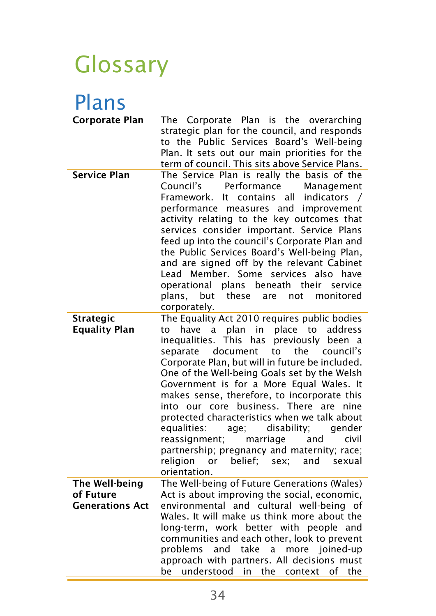### Glossary

### Plans

| <b>Corporate Plan</b>                                 | Corporate Plan is the overarching<br>The<br>strategic plan for the council, and responds<br>to the Public Services Board's Well-being<br>Plan. It sets out our main priorities for the<br>term of council. This sits above Service Plans.                                                                                                                                                                                                                                                                                                                                                                                                                                                                          |
|-------------------------------------------------------|--------------------------------------------------------------------------------------------------------------------------------------------------------------------------------------------------------------------------------------------------------------------------------------------------------------------------------------------------------------------------------------------------------------------------------------------------------------------------------------------------------------------------------------------------------------------------------------------------------------------------------------------------------------------------------------------------------------------|
| <b>Service Plan</b>                                   | The Service Plan is really the basis of the<br>Council's<br>Performance<br>Management<br>Framework.<br>It<br>contains<br>all<br>indicators<br>performance measures and<br>improvement<br>activity relating to the key outcomes that<br>services consider important. Service Plans<br>feed up into the council's Corporate Plan and<br>the Public Services Board's Well-being Plan,<br>and are signed off by the relevant Cabinet<br>Lead Member. Some<br>services<br>also have<br>beneath their<br>service<br>operational<br>plans<br>these<br>monitored<br>plans.<br>but<br>are<br>not<br>corporately.                                                                                                            |
| <b>Strategic</b><br><b>Equality Plan</b>              | The Equality Act 2010 requires public bodies<br>have a plan<br>in<br>place to<br>address<br>to<br>inequalities. This<br>previously<br>has<br>been a<br>document<br>to<br>the<br>council's<br>separate<br>Corporate Plan, but will in future be included.<br>One of the Well-being Goals set by the Welsh<br>Government is for a More Equal Wales. It<br>makes sense, therefore, to incorporate this<br>into our core business. There are<br>nine<br>protected characteristics when we talk about<br>equalities:<br>disability;<br>gender<br>age;<br>marriage<br>civil<br>reassignment;<br>and<br>partnership; pregnancy and maternity; race;<br>religion<br>belief;<br>sex:<br>and<br>or<br>sexual<br>orientation. |
| The Well-being<br>of Future<br><b>Generations Act</b> | The Well-being of Future Generations (Wales)<br>Act is about improving the social, economic,<br>environmental and cultural well-being of<br>Wales. It will make us think more about the<br>long-term, work better with people and<br>communities and each other, look to prevent<br>take<br>problems<br>and<br>more joined-up<br>a<br>approach with partners. All decisions must<br>be<br>understood<br>the<br>context<br>of<br>the<br>in                                                                                                                                                                                                                                                                          |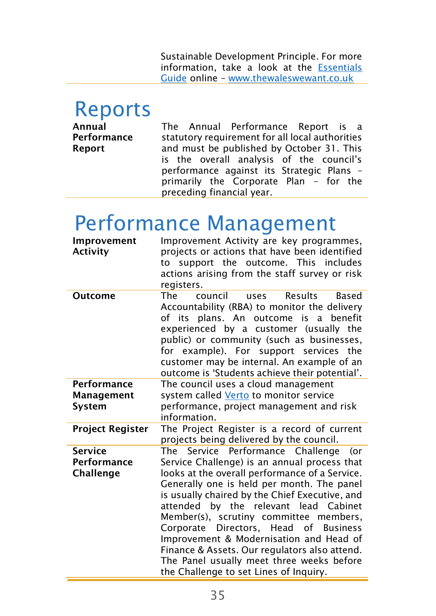Sustainable Development Principle. For more information, take a look at the [Essentials](http://thewaleswewant.co.uk/sites/default/files/Guide%20to%20the%20WFGAct.pdf)  [Guide](http://thewaleswewant.co.uk/sites/default/files/Guide%20to%20the%20WFGAct.pdf) online – [www.thewaleswewant.co.uk](http://www.thewaleswewant.co.uk/)

### Reports

Annual Performance Report The Annual Performance Report is a statutory requirement for all local authorities and must be published by October 31. This is the overall analysis of the council's performance against its Strategic Plans – primarily the Corporate Plan – for the preceding financial year.

### Performance Management

| Improvement<br><b>Activity</b>                    | Improvement Activity are key programmes,<br>projects or actions that have been identified<br>to support the outcome. This includes<br>actions arising from the staff survey or risk<br>registers.                                                                                                                                                                                                                                                                                                                                                            |
|---------------------------------------------------|--------------------------------------------------------------------------------------------------------------------------------------------------------------------------------------------------------------------------------------------------------------------------------------------------------------------------------------------------------------------------------------------------------------------------------------------------------------------------------------------------------------------------------------------------------------|
| <b>Outcome</b>                                    | The<br>Results<br>council<br>Based<br>uses<br>Accountability (RBA) to monitor the delivery<br>of its plans. An outcome is a benefit<br>experienced by a customer (usually the<br>public) or community (such as businesses,<br>for example). For support services the<br>customer may be internal. An example of an<br>outcome is 'Students achieve their potential'.                                                                                                                                                                                         |
| Performance<br>Management<br>System               | The council uses a cloud management<br>system called Verto to monitor service<br>performance, project management and risk<br>information.                                                                                                                                                                                                                                                                                                                                                                                                                    |
| <b>Project Register</b>                           | The Project Register is a record of current<br>projects being delivered by the council.                                                                                                                                                                                                                                                                                                                                                                                                                                                                      |
| <b>Service</b><br>Performance<br><b>Challenge</b> | The Service Performance Challenge<br>(or<br>Service Challenge) is an annual process that<br>looks at the overall performance of a Service.<br>Generally one is held per month. The panel<br>is usually chaired by the Chief Executive, and<br>attended by the relevant lead Cabinet<br>Member(s), scrutiny committee members,<br>Directors, Head of Business<br>Corporate<br>Improvement & Modernisation and Head of<br>Finance & Assets. Our regulators also attend.<br>The Panel usually meet three weeks before<br>the Challenge to set Lines of Inquiry. |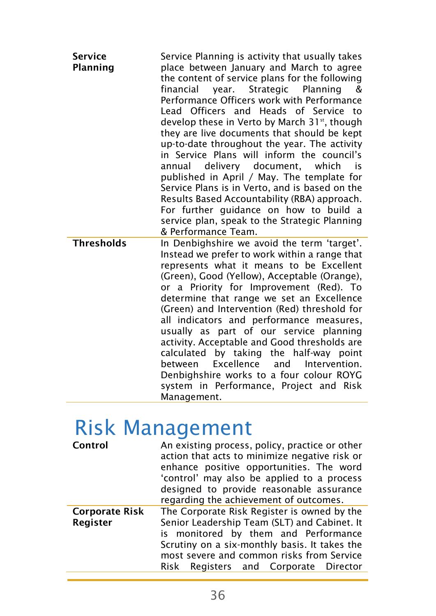| <b>Service</b><br>Planning | Service Planning is activity that usually takes<br>place between January and March to agree<br>the content of service plans for the following<br>financial<br>year. Strategic<br>Planning<br>&<br>Performance Officers work with Performance<br>Lead Officers and Heads of Service to<br>develop these in Verto by March 31 <sup>st</sup> , though<br>they are live documents that should be kept<br>up-to-date throughout the year. The activity<br>in Service Plans will inform the council's<br>annual delivery document, which<br>is is<br>published in April / May. The template for<br>Service Plans is in Verto, and is based on the<br>Results Based Accountability (RBA) approach.<br>For further guidance on how to build a<br>service plan, speak to the Strategic Planning<br>& Performance Team. |
|----------------------------|---------------------------------------------------------------------------------------------------------------------------------------------------------------------------------------------------------------------------------------------------------------------------------------------------------------------------------------------------------------------------------------------------------------------------------------------------------------------------------------------------------------------------------------------------------------------------------------------------------------------------------------------------------------------------------------------------------------------------------------------------------------------------------------------------------------|
| <b>Thresholds</b>          | In Denbighshire we avoid the term 'target'.<br>Instead we prefer to work within a range that<br>represents what it means to be Excellent<br>(Green), Good (Yellow), Acceptable (Orange),<br>or a Priority for Improvement (Red). To<br>determine that range we set an Excellence<br>(Green) and Intervention (Red) threshold for<br>all indicators and performance measures.<br>usually as part of our service planning<br>activity. Acceptable and Good thresholds are<br>calculated<br>by taking<br>the half-way point<br>Excellence<br>and Intervention.<br>between<br>Denbighshire works to a four colour ROYG<br>system in Performance, Project and Risk<br>Management.                                                                                                                                  |

### Risk Management

| An existing process, policy, practice or other<br>Control<br>action that acts to minimize negative risk or<br>enhance positive opportunities. The word<br>'control' may also be applied to a process<br>designed to provide reasonable assurance<br>regarding the achievement of outcomes. |                                                                                                                                                                                                                                                                            |  |  |
|--------------------------------------------------------------------------------------------------------------------------------------------------------------------------------------------------------------------------------------------------------------------------------------------|----------------------------------------------------------------------------------------------------------------------------------------------------------------------------------------------------------------------------------------------------------------------------|--|--|
| <b>Corporate Risk</b><br>Register                                                                                                                                                                                                                                                          | The Corporate Risk Register is owned by the<br>Senior Leadership Team (SLT) and Cabinet. It<br>is monitored by them and Performance<br>Scrutiny on a six-monthly basis. It takes the<br>most severe and common risks from Service<br>Risk Registers and Corporate Director |  |  |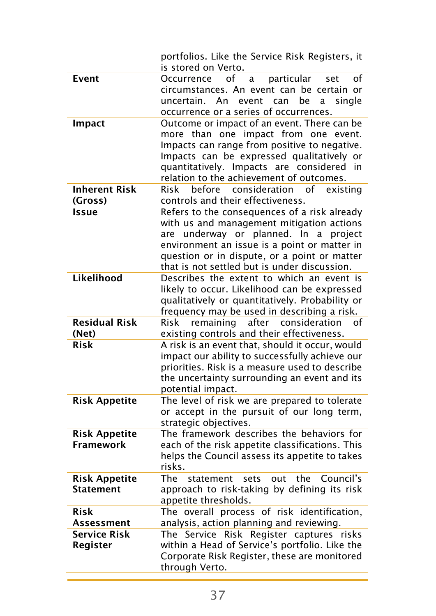|                                          | portfolios. Like the Service Risk Registers, it<br>is stored on Verto.                                                                                                                                                                                                                      |
|------------------------------------------|---------------------------------------------------------------------------------------------------------------------------------------------------------------------------------------------------------------------------------------------------------------------------------------------|
| Event                                    | of<br>particular<br>Occurrence<br>a<br>set<br>of<br>circumstances. An event can be certain or<br>uncertain. An<br>event can<br>be<br>single<br>a<br>occurrence or a series of occurrences.                                                                                                  |
| Impact                                   | Outcome or impact of an event. There can be<br>more than one impact from one event.<br>Impacts can range from positive to negative.<br>Impacts can be expressed qualitatively or<br>quantitatively. Impacts are considered in<br>relation to the achievement of outcomes.                   |
| <b>Inherent Risk</b><br>(Gross)          | Risk<br>before consideration<br>of<br>existing<br>controls and their effectiveness.                                                                                                                                                                                                         |
| <b>Issue</b>                             | Refers to the consequences of a risk already<br>with us and management mitigation actions<br>underway or planned. In<br>a<br>project<br>are<br>environment an issue is a point or matter in<br>question or in dispute, or a point or matter<br>that is not settled but is under discussion. |
| Likelihood                               | Describes the extent to which an event is<br>likely to occur. Likelihood can be expressed<br>qualitatively or quantitatively. Probability or<br>frequency may be used in describing a risk.                                                                                                 |
| <b>Residual Risk</b><br>(Net)            | remaining after consideration<br>Risk<br>of<br>existing controls and their effectiveness.                                                                                                                                                                                                   |
| <b>Risk</b>                              | A risk is an event that, should it occur, would<br>impact our ability to successfully achieve our<br>priorities. Risk is a measure used to describe<br>the uncertainty surrounding an event and its<br>potential impact.                                                                    |
| <b>Risk Appetite</b>                     | The level of risk we are prepared to tolerate<br>or accept in the pursuit of our long term,<br>strategic objectives.                                                                                                                                                                        |
| <b>Risk Appetite</b><br><b>Framework</b> | The framework describes the behaviors for<br>each of the risk appetite classifications. This<br>helps the Council assess its appetite to takes<br>risks.                                                                                                                                    |
| <b>Risk Appetite</b><br><b>Statement</b> | The<br>the<br>Council's<br>statement<br>sets<br>out<br>approach to risk-taking by defining its risk<br>appetite thresholds.                                                                                                                                                                 |
| <b>Risk</b><br>Assessment                | The overall process of risk identification,<br>analysis, action planning and reviewing.                                                                                                                                                                                                     |
| <b>Service Risk</b><br>Register          | The Service Risk Register captures<br>risks<br>within a Head of Service's portfolio. Like the<br>Corporate Risk Register, these are monitored<br>through Verto.                                                                                                                             |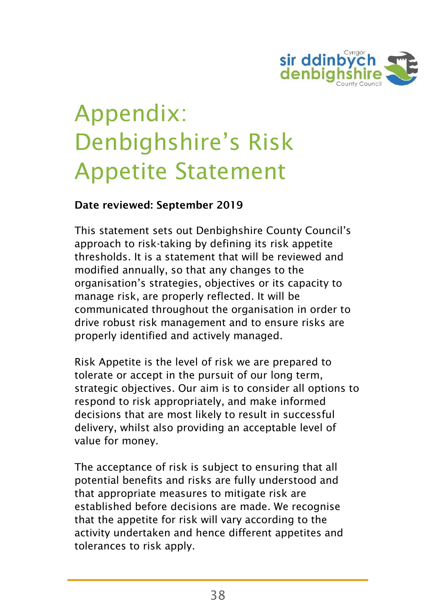

# Appendix: Denbighshire's Risk Appetite Statement

#### Date reviewed: September 2019

This statement sets out Denbighshire County Council's approach to risk-taking by defining its risk appetite thresholds. It is a statement that will be reviewed and modified annually, so that any changes to the organisation's strategies, objectives or its capacity to manage risk, are properly reflected. It will be communicated throughout the organisation in order to drive robust risk management and to ensure risks are properly identified and actively managed.

Risk Appetite is the level of risk we are prepared to tolerate or accept in the pursuit of our long term, strategic objectives. Our aim is to consider all options to respond to risk appropriately, and make informed decisions that are most likely to result in successful delivery, whilst also providing an acceptable level of value for money.

The acceptance of risk is subject to ensuring that all potential benefits and risks are fully understood and that appropriate measures to mitigate risk are established before decisions are made. We recognise that the appetite for risk will vary according to the activity undertaken and hence different appetites and tolerances to risk apply.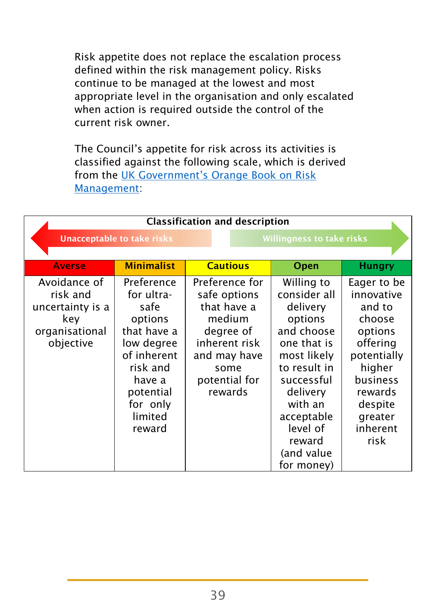Risk appetite does not replace the escalation process defined within the risk management policy. Risks continue to be managed at the lowest and most appropriate level in the organisation and only escalated when action is required outside the control of the current risk owner.

The Council's appetite for risk across its activities is classified against the following scale, which is derived from the [UK Government's Orange Book on Risk](https://www.gov.uk/government/publications/orange-book)  [Management:](https://www.gov.uk/government/publications/orange-book)

| <b>Classification and description</b>                                              |                                                                                                                                                             |                                                                                                                                           |                                                                                                                                                                                                                    |                                                                                                                                                                |  |  |
|------------------------------------------------------------------------------------|-------------------------------------------------------------------------------------------------------------------------------------------------------------|-------------------------------------------------------------------------------------------------------------------------------------------|--------------------------------------------------------------------------------------------------------------------------------------------------------------------------------------------------------------------|----------------------------------------------------------------------------------------------------------------------------------------------------------------|--|--|
|                                                                                    | <b>Unacceptable to take risks</b>                                                                                                                           |                                                                                                                                           | <b>Willingness to take risks</b>                                                                                                                                                                                   |                                                                                                                                                                |  |  |
| <b>Averse</b>                                                                      | <b>Minimalist</b>                                                                                                                                           | <b>Cautious</b>                                                                                                                           | Open                                                                                                                                                                                                               | <b>Hungry</b>                                                                                                                                                  |  |  |
| Avoidance of<br>risk and<br>uncertainty is a<br>key<br>organisational<br>objective | Preference<br>for ultra-<br>safe<br>options<br>that have a<br>low degree<br>of inherent<br>risk and<br>have a<br>potential<br>for only<br>limited<br>reward | Preference for<br>safe options<br>that have a<br>medium<br>degree of<br>inherent risk<br>and may have<br>some<br>potential for<br>rewards | Willing to<br>consider all<br>delivery<br>options<br>and choose<br>one that is<br>most likely<br>to result in<br>successful<br>delivery<br>with an<br>acceptable<br>level of<br>reward<br>(and value<br>for money) | Eager to be<br>innovative<br>and to<br>choose<br>options<br>offering<br>potentially<br>higher<br>business<br>rewards<br>despite<br>greater<br>inherent<br>risk |  |  |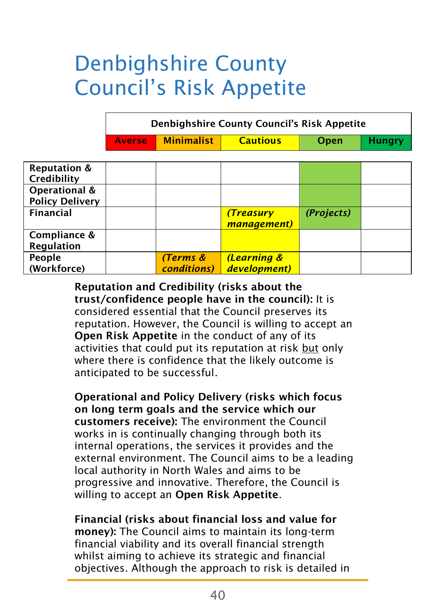### Denbighshire County Council's Risk Appetite

| <b>Denbighshire County Council's Risk Appetite</b> |            |                 |      |               |  |  |
|----------------------------------------------------|------------|-----------------|------|---------------|--|--|
| Averse                                             | Minimalist | <b>Cautious</b> | Open | <b>Hungry</b> |  |  |

| <b>Reputation &amp;</b><br>Credibility  |                                 |                                        |            |  |
|-----------------------------------------|---------------------------------|----------------------------------------|------------|--|
| Operational &<br><b>Policy Delivery</b> |                                 |                                        |            |  |
| <b>Financial</b>                        |                                 | (Treasury<br>management)               | (Projects) |  |
| Compliance &<br>Regulation              |                                 |                                        |            |  |
| People<br>(Workforce)                   | (Terms &<br><b>conditions</b> ) | <b>(Learning &amp;</b><br>development) |            |  |

Reputation and Credibility (risks about the trust/confidence people have in the council): It is considered essential that the Council preserves its reputation. However, the Council is willing to accept an Open Risk Appetite in the conduct of any of its activities that could put its reputation at risk but only where there is confidence that the likely outcome is anticipated to be successful.

Operational and Policy Delivery (risks which focus on long term goals and the service which our customers receive): The environment the Council works in is continually changing through both its internal operations, the services it provides and the external environment. The Council aims to be a leading local authority in North Wales and aims to be progressive and innovative. Therefore, the Council is willing to accept an Open Risk Appetite.

Financial (risks about financial loss and value for money): The Council aims to maintain its long-term financial viability and its overall financial strength whilst aiming to achieve its strategic and financial objectives. Although the approach to risk is detailed in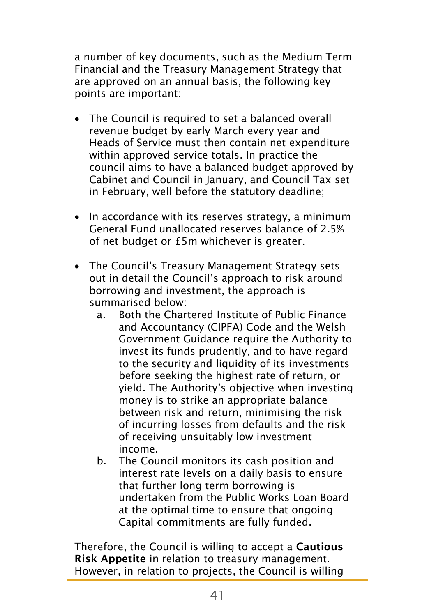a number of key documents, such as the Medium Term Financial and the Treasury Management Strategy that are approved on an annual basis, the following key points are important:

- The Council is required to set a balanced overall revenue budget by early March every year and Heads of Service must then contain net expenditure within approved service totals. In practice the council aims to have a balanced budget approved by Cabinet and Council in January, and Council Tax set in February, well before the statutory deadline;
- In accordance with its reserves strategy, a minimum General Fund unallocated reserves balance of 2.5% of net budget or £5m whichever is greater.
- The Council's Treasury Management Strategy sets out in detail the Council's approach to risk around borrowing and investment, the approach is summarised below:
	- a. Both the Chartered Institute of Public Finance and Accountancy (CIPFA) Code and the Welsh Government Guidance require the Authority to invest its funds prudently, and to have regard to the security and liquidity of its investments before seeking the highest rate of return, or yield. The Authority's objective when investing money is to strike an appropriate balance between risk and return, minimising the risk of incurring losses from defaults and the risk of receiving unsuitably low investment income.
	- b. The Council monitors its cash position and interest rate levels on a daily basis to ensure that further long term borrowing is undertaken from the Public Works Loan Board at the optimal time to ensure that ongoing Capital commitments are fully funded.

Therefore, the Council is willing to accept a Cautious Risk Appetite in relation to treasury management. However, in relation to projects, the Council is willing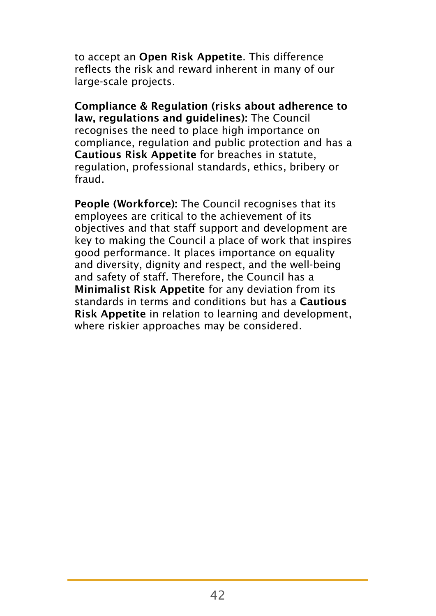to accept an Open Risk Appetite. This difference reflects the risk and reward inherent in many of our large-scale projects.

Compliance & Regulation (risks about adherence to law, regulations and guidelines): The Council recognises the need to place high importance on compliance, regulation and public protection and has a Cautious Risk Appetite for breaches in statute, regulation, professional standards, ethics, bribery or fraud.

People (Workforce): The Council recognises that its employees are critical to the achievement of its objectives and that staff support and development are key to making the Council a place of work that inspires good performance. It places importance on equality and diversity, dignity and respect, and the well-being and safety of staff. Therefore, the Council has a Minimalist Risk Appetite for any deviation from its standards in terms and conditions but has a Cautious Risk Appetite in relation to learning and development, where riskier approaches may be considered.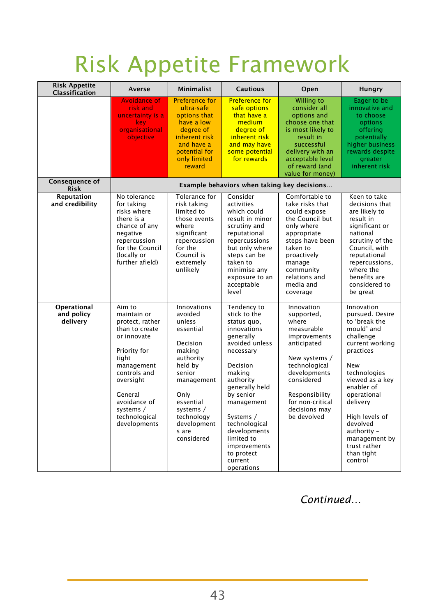# Risk Appetite Framework

| <b>Risk Appetite</b><br>Classification | Averse                                                                                                                                                                                                                 | <b>Minimalist</b>                                                                                                                                                                                                | <b>Cautious</b>                                                                                                                                                                                                                                                                                                 | Open                                                                                                                                                                                                                 | Hungry                                                                                                                                                                                                                                                                                              |  |  |
|----------------------------------------|------------------------------------------------------------------------------------------------------------------------------------------------------------------------------------------------------------------------|------------------------------------------------------------------------------------------------------------------------------------------------------------------------------------------------------------------|-----------------------------------------------------------------------------------------------------------------------------------------------------------------------------------------------------------------------------------------------------------------------------------------------------------------|----------------------------------------------------------------------------------------------------------------------------------------------------------------------------------------------------------------------|-----------------------------------------------------------------------------------------------------------------------------------------------------------------------------------------------------------------------------------------------------------------------------------------------------|--|--|
|                                        | <b>Avoidance of</b><br>risk and<br>uncertainty is a<br>key<br>organisational<br>objective                                                                                                                              | Preference for<br>ultra-safe<br>options that<br>have a low<br>degree of<br>inherent risk<br>and have a<br>potential for<br>only limited<br>reward                                                                | <b>Preference for</b><br>safe options<br>that have a<br>medium<br>degree of<br>inherent risk<br>and may have<br>some potential<br>for rewards                                                                                                                                                                   | <b>Willing to</b><br>consider all<br>options and<br>choose one that<br>is most likely to<br>result in<br>successful<br>delivery with an<br>acceptable level<br>of reward (and<br>value for money)                    | Eager to be<br>innovative and<br>to choose<br>options<br>offering<br>potentially<br>higher business<br>rewards despite<br>greater<br>inherent risk                                                                                                                                                  |  |  |
| <b>Consequence of</b><br><b>Risk</b>   | Example behaviors when taking key decisions                                                                                                                                                                            |                                                                                                                                                                                                                  |                                                                                                                                                                                                                                                                                                                 |                                                                                                                                                                                                                      |                                                                                                                                                                                                                                                                                                     |  |  |
| Reputation<br>and credibility          | No tolerance<br>for taking<br>risks where<br>there is a<br>chance of any<br>negative<br>repercussion<br>for the Council<br>(locally or<br>further afield)                                                              | Tolerance for<br>risk taking<br>limited to<br>those events<br>where<br>significant<br>repercussion<br>for the<br>Council is<br>extremely<br>unlikely                                                             | Consider<br>activities<br>which could<br>result in minor<br>scrutiny and<br>reputational<br>repercussions<br>but only where<br>steps can be<br>taken to<br>minimise any<br>exposure to an<br>acceptable<br>level                                                                                                | Comfortable to<br>take risks that<br>could expose<br>the Council but<br>only where<br>appropriate<br>steps have been<br>taken to<br>proactively<br>manage<br>community<br>relations and<br>media and<br>coverage     | Keen to take<br>decisions that<br>are likelv to<br>result in<br>significant or<br>national<br>scrutiny of the<br>Council, with<br>reputational<br>repercussions,<br>where the<br>benefits are<br>considered to<br>be great                                                                          |  |  |
| Operational<br>and policy<br>delivery  | Aim to<br>maintain or<br>protect, rather<br>than to create<br>or innovate<br>Priority for<br>tiaht<br>management<br>controls and<br>oversight<br>General<br>avoidance of<br>systems /<br>technological<br>developments | <b>Innovations</b><br>avoided<br>unless<br>essential<br>Decision<br>making<br>authority<br>held by<br>senior<br>management<br>Only<br>essential<br>systems /<br>technology<br>development<br>s are<br>considered | Tendency to<br>stick to the<br>status quo,<br>innovations<br>generally<br>avoided unless<br>necessary<br><b>Decision</b><br>making<br>authority<br>generally held<br>by senior<br>management<br>Systems /<br>technological<br>developments<br>limited to<br>improvements<br>to protect<br>current<br>operations | Innovation<br>supported,<br>where<br>measurable<br>improvements<br>anticipated<br>New systems /<br>technological<br>developments<br>considered<br>Responsibility<br>for non-critical<br>decisions may<br>be devolved | Innovation<br>pursued. Desire<br>to 'break the<br>mould' and<br>challenge<br>current working<br>practices<br>New<br>technologies<br>viewed as a kev<br>enabler of<br>operational<br>delivery<br>High levels of<br>devolved<br>authority -<br>management by<br>trust rather<br>than tight<br>control |  |  |

*Continued…*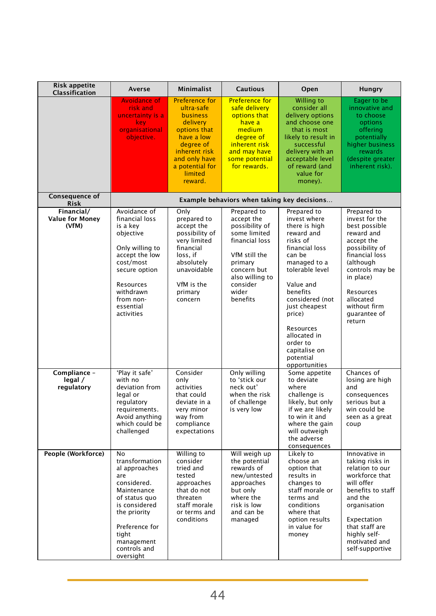| <b>Risk appetite</b><br>Classification        | Averse                                                                                                                                                                                             | Minimalist                                                                                                                                                                        | <b>Cautious</b>                                                                                                                                                              | Open                                                                                                                                                                                                                                                                                                 | Hungry                                                                                                                                                                                                                          |  |  |
|-----------------------------------------------|----------------------------------------------------------------------------------------------------------------------------------------------------------------------------------------------------|-----------------------------------------------------------------------------------------------------------------------------------------------------------------------------------|------------------------------------------------------------------------------------------------------------------------------------------------------------------------------|------------------------------------------------------------------------------------------------------------------------------------------------------------------------------------------------------------------------------------------------------------------------------------------------------|---------------------------------------------------------------------------------------------------------------------------------------------------------------------------------------------------------------------------------|--|--|
|                                               | <b>Avoidance of</b><br>risk and<br>uncertainty is a<br>key<br>organisational<br>objective.                                                                                                         | <b>Preference for</b><br>ultra-safe<br>business<br>delivery<br>options that<br>have a low<br>degree of<br>inherent risk<br>and only have<br>a potential for<br>limited<br>reward. | <b>Preference for</b><br>safe delivery<br>options that<br>have a<br>medium<br>degree of<br>inherent risk<br>and may have<br>some potential<br>for rewards.                   | Willing to<br>consider all<br>delivery options<br>and choose one<br>that is most<br>likely to result in<br>successful<br>delivery with an<br>acceptable level<br>of reward (and<br>value for<br>money).                                                                                              | Eager to be<br>innovative and<br>to choose<br>options<br>offering<br>potentially<br>higher business<br>rewards<br>(despite greater<br>inherent risk).                                                                           |  |  |
| Consequence of<br><b>Risk</b>                 | Example behaviors when taking key decisions                                                                                                                                                        |                                                                                                                                                                                   |                                                                                                                                                                              |                                                                                                                                                                                                                                                                                                      |                                                                                                                                                                                                                                 |  |  |
| Financial/<br><b>Value for Money</b><br>(VfM) | Avoidance of<br>financial loss<br>is a key<br>objective<br>Only willing to<br>accept the low<br>cost/most<br>secure option<br>Resources<br>withdrawn<br>from non-<br>essential<br>activities       | Only<br>prepared to<br>accept the<br>possibility of<br>very limited<br>financial<br>loss. if<br>absolutely<br>unavoidable<br>VfM is the<br>primary<br>concern                     | Prepared to<br>accept the<br>possibility of<br>some limited<br>financial loss<br>VfM still the<br>primary<br>concern but<br>also willing to<br>consider<br>wider<br>benefits | Prepared to<br>invest where<br>there is high<br>reward and<br>risks of<br>financial loss<br>can be<br>managed to a<br>tolerable level<br>Value and<br>benefits<br>considered (not<br>just cheapest<br>price)<br>Resources<br>allocated in<br>order to<br>capitalise on<br>potential<br>opportunities | Prepared to<br>invest for the<br>best possible<br>reward and<br>accept the<br>possibility of<br>financial loss<br>(although<br>controls may be<br>in place)<br>Resources<br>allocated<br>without firm<br>quarantee of<br>return |  |  |
| Compliance -<br>legal /<br>regulatory         | 'Play it safe'<br>with no<br>deviation from<br>legal or<br>regulatory<br>requirements.<br>Avoid anything<br>which could be<br>challenged                                                           | Consider<br>only<br>activities<br>that could<br>deviate in a<br>very minor<br>way from<br>compliance<br>expectations                                                              | Only willing<br>to 'stick our<br>neck out'<br>when the risk<br>of challenge<br>is very low                                                                                   | Some appetite<br>to deviate<br>where<br>challenge is<br>likely, but only<br>if we are likely<br>to win it and<br>where the gain<br>will outweigh<br>the adverse<br>consequences                                                                                                                      | Chances of<br>losing are high<br>and<br>consequences<br>serious but a<br>win could be<br>seen as a great<br>coup                                                                                                                |  |  |
| People (Workforce)                            | No<br>transformation<br>al approaches<br>are<br>considered.<br>Maintenance<br>of status quo<br>is considered<br>the priority<br>Preference for<br>tight<br>management<br>controls and<br>oversight | Willing to<br>consider<br>tried and<br>tested<br>approaches<br>that do not<br>threaten<br>staff morale<br>or terms and<br>conditions                                              | Will weigh up<br>the potential<br>rewards of<br>new/untested<br>approaches<br>but only<br>where the<br>risk is low<br>and can be<br>managed                                  | Likely to<br>choose an<br>option that<br>results in<br>changes to<br>staff morale or<br>terms and<br>conditions<br>where that<br>option results<br>in value for<br>money                                                                                                                             | Innovative in<br>taking risks in<br>relation to our<br>workforce that<br>will offer<br>benefits to staff<br>and the<br>organisation<br>Expectation<br>that staff are<br>highly self-<br>motivated and<br>self-supportive        |  |  |